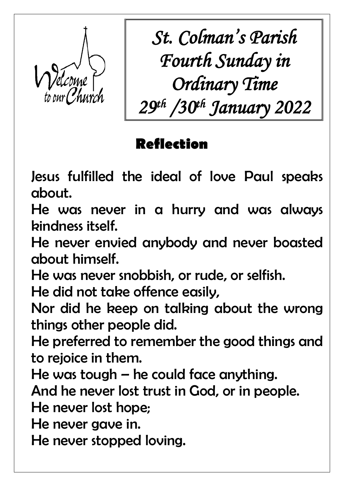

*St. Colman's Parish Fourth Sunday in Ordinary Time 29th /30th January 2022*

# **Reflection**

Jesus fulfilled the ideal of love Paul speaks about.

He was never in a hurry and was always kindness itself.

He never envied anybody and never boasted about himself.

He was never snobbish, or rude, or selfish.

He did not take offence easily,

Nor did he keep on talking about the wrong things other people did.

He preferred to remember the good things and to rejoice in them.

He was tough – he could face anything.

And he never lost trust in God, or in people.

He never lost hope;

He never gave in.

He never stopped loving.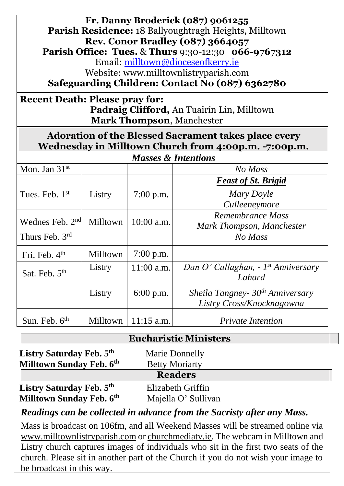| Fr. Danny Broderick (087) 9061255<br><b>Parish Residence: 18 Ballyoughtragh Heights, Milltown</b><br><b>Rev. Conor Bradley (087) 3664057</b><br><b>Parish Office: Tues. &amp; Thurs 9:30-12:30 066-9767312</b><br>Email: milltown@dioceseofkerry.ie<br>Website: www.milltownlistryparish.com<br>Safeguarding Children: Contact No (087) 6362780<br><b>Recent Death: Please pray for:</b> |          |              |                                                                           |  |  |
|------------------------------------------------------------------------------------------------------------------------------------------------------------------------------------------------------------------------------------------------------------------------------------------------------------------------------------------------------------------------------------------|----------|--------------|---------------------------------------------------------------------------|--|--|
| <b>Padraig Clifford, An Tuairín Lin, Milltown</b><br><b>Mark Thompson, Manchester</b>                                                                                                                                                                                                                                                                                                    |          |              |                                                                           |  |  |
| <b>Adoration of the Blessed Sacrament takes place every</b><br>Wednesday in Milltown Church from 4:00p.m. -7:00p.m.<br><b>Masses &amp; Intentions</b>                                                                                                                                                                                                                                    |          |              |                                                                           |  |  |
|                                                                                                                                                                                                                                                                                                                                                                                          |          |              |                                                                           |  |  |
| Mon. Jan $31st$                                                                                                                                                                                                                                                                                                                                                                          |          |              | No Mass                                                                   |  |  |
| Tues. Feb. 1 <sup>st</sup>                                                                                                                                                                                                                                                                                                                                                               | Listry   | 7:00 p.m.    | <b>Feast of St. Brigid</b><br>Mary Doyle<br>Culleeneymore                 |  |  |
| Wednes Feb. $2nd$                                                                                                                                                                                                                                                                                                                                                                        | Milltown | $10:00$ a.m. | Remembrance Mass<br>Mark Thompson, Manchester                             |  |  |
| Thurs Feb. 3rd                                                                                                                                                                                                                                                                                                                                                                           |          |              | No Mass                                                                   |  |  |
| Fri. Feb. 4 <sup>th</sup>                                                                                                                                                                                                                                                                                                                                                                | Milltown | $7:00$ p.m.  |                                                                           |  |  |
| Sat. Feb. 5 <sup>th</sup>                                                                                                                                                                                                                                                                                                                                                                | Listry   | 11:00 a.m.   | Dan O' Callaghan, - 1st Anniversary<br>Lahard                             |  |  |
|                                                                                                                                                                                                                                                                                                                                                                                          | Listry   | $6:00$ p.m.  | Sheila Tangney- 30 <sup>th</sup> Anniversary<br>Listry Cross/Knocknagowna |  |  |
| Sun. Feb. $6th$                                                                                                                                                                                                                                                                                                                                                                          | Milltown | $11:15$ a.m. | <b>Private Intention</b>                                                  |  |  |

#### **Eucharistic Ministers**

| Listry Saturday Feb. 5th<br>Milltown Sunday Feb. 6th | <b>Marie Donnelly</b><br><b>Betty Moriarty</b> |  |  |  |  |
|------------------------------------------------------|------------------------------------------------|--|--|--|--|
| <b>Readers</b>                                       |                                                |  |  |  |  |
| Listry Saturday Feb. 5th                             | Elizabeth Griffin                              |  |  |  |  |
| Milltown Sunday Feb. 6th                             | Majella O' Sullivan                            |  |  |  |  |

*Readings can be collected in advance from the Sacristy after any Mass.*

Mass is broadcast on 106fm, and all Weekend Masses will be streamed online via [www.milltownlistryparish.com](http://www.milltownlistryparish.com/) or churchmediatv.ie. The webcam in Milltown and Listry church captures images of individuals who sit in the first two seats of the church. Please sit in another part of the Church if you do not wish your image to be broadcast in this way.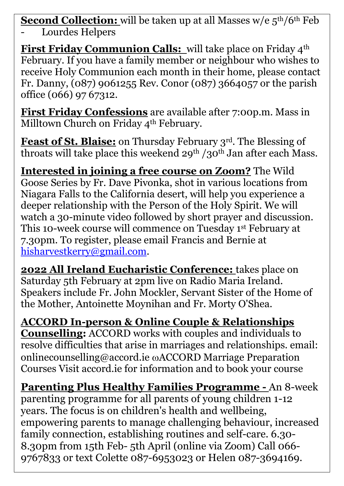**Second Collection:** will be taken up at all Masses w/e  $5<sup>th</sup>/6<sup>th</sup>$  Feb

Lourdes Helpers

**First Friday Communion Calls:** will take place on Friday 4<sup>th</sup> February. If you have a family member or neighbour who wishes to receive Holy Communion each month in their home, please contact Fr. Danny, (087) 9061255 Rev. Conor (087) 3664057 or the parish office (066) 97 67312.

**First Friday Confessions** are available after 7:00p.m. Mass in Milltown Church on Friday 4<sup>th</sup> February.

**Feast of St. Blaise:** on Thursday February 3rd. The Blessing of throats will take place this weekend 29<sup>th</sup> /30<sup>th</sup> Jan after each Mass.

**Interested in joining a free course on Zoom?** The Wild Goose Series by Fr. Dave Pivonka, shot in various locations from Niagara Falls to the California desert, will help you experience a deeper relationship with the Person of the Holy Spirit. We will watch a 30-minute video followed by short prayer and discussion. This 10-week course will commence on Tuesday 1st February at 7.30pm. To register, please email Francis and Bernie at [hisharvestkerry@gmail.com.](mailto:hisharvestkerry@gmail.com)

**2022 All Ireland Eucharistic Conference:** takes place on Saturday 5th February at 2pm live on Radio Maria Ireland. Speakers include Fr. John Mockler, Servant Sister of the Home of the Mother, Antoinette Moynihan and Fr. Morty O'Shea.

**ACCORD In-person & Online Couple & Relationships Counselling:** ACCORD works with couples and individuals to resolve difficulties that arise in marriages and relationships. email: onlinecounselling@accord.ie ACCORD Marriage Preparation Courses Visit accord.ie for information and to book your course

**Parenting Plus Healthy Families Programme -** An 8-week parenting programme for all parents of young children 1-12 years. The focus is on children's health and wellbeing, empowering parents to manage challenging behaviour, increased family connection, establishing routines and self-care. 6.30- 8.30pm from 15th Feb- 5th April (online via Zoom) Call 066- 9767833 or text Colette 087-6953023 or Helen 087-3694169.